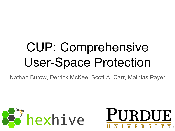## CUP: Comprehensive User-Space Protection

Nathan Burow, Derrick McKee, Scott A. Carr, Mathias Payer



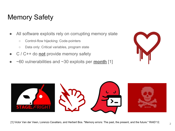### Memory Safety

- All software exploits rely on corrupting memory state
	- Control-flow hijacking: Code-pointers
	- Data only: Critical variables, program state
- C / C++ do **not** provide memory safety
- $\sim$  60 vulnerabilities and  $\sim$  30 exploits per **month** [1]



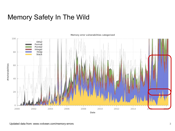#### Memory Safety In The Wild



#### Memory error vulnerabilities categorized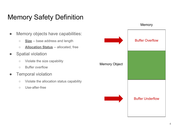### Memory Safety Definition

• Memory objects have capabilities: ○ **Size** -- base address and length ○ **Allocation Status** -- allocated, free **•** Spatial violation ○ Violate the size capability ○ Buffer overflow **Temporal violation** ○ Violate the allocation status capability ○ Use-after-free Memory Object Buffer Overflow Buffer Underflow

**Memory**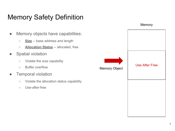#### Memory Safety Definition

- Memory objects have capabilities:
	- **Size** -- base address and length
	- **Allocation Status** -- allocated, free
- **•** Spatial violation
	- Violate the size capability
	- Buffer overflow
- **•** Temporal violation
	- Violate the allocation status capability
	- Use-after-free

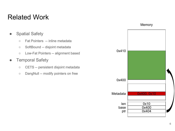#### Related Work



**Memory** 

- Spatial Safety
	- Fat Pointers -- inline metadata
	- SoftBound -- disjoint metadata
	- Low-Fat Pointers -- alignment based
- Temporal Safety
	- CETS -- persistent disjoint metadata
	- DangNull -- modify pointers on free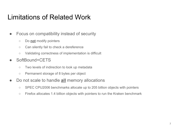#### Limitations of Related Work

- Focus on compatibility instead of security
	- Do **not** modify pointers
	- Can silently fail to check a dereference
	- Validating correctness of implementation is difficult
- SoftBound+CETS
	- Two levels of indirection to look up metadata
	- Permanent storage of 8 bytes per object
- Do not scale to handle **all** memory allocations
	- SPEC CPU2006 benchmarks allocate up to 205 billion objects with pointers
	- Firefox allocates 1.4 billion objects with pointers to run the Kraken benchmark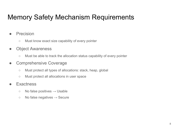#### Memory Safety Mechanism Requirements

- **Precision** 
	- Must know exact size capability of every pointer
- Object Awareness
	- Must be able to track the allocation status capability of every pointer
- Comprehensive Coverage
	- Must protect all types of allocations: stack, heap, global
	- Must protect all allocations in user space
- **Exactness** 
	- $\circ$  No false positives  $\rightarrow$  Usable
	- $\circ$  No false negatives  $\rightarrow$  Secure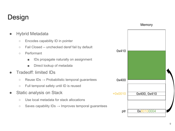### Design



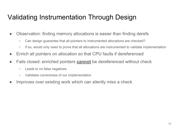### Validating Instrumentation Through Design

- Observation: finding memory allocations is easier than finding derefs
	- Can design guarantee that all pointers to instrumented allocations are checked?
	- If so, would only need to prove that all allocations are instrumented to validate implementation
- Enrich all pointers on allocation so that CPU faults if dereferenced
- Fails closed: enriched pointers **cannot** be dereferenced without check
	- Leads to no false negatives
	- Validates correctness of our implementation
- Improves over existing work which can silently miss a check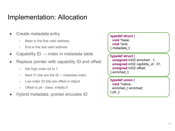#### Implementation: Allocation

- Create metadata entry
	- Base is the first valid address
	- End is the last valid address
- Capability  $ID \rightarrow$  index in metadata table
- Replace pointer with capability ID and offset
	- Set high order bit to 1
	- Next 31 bits are the ID -- metadata index
	- Low order 32 bits are offset in object
	- Offset is ptr base, initially 0
- Hybrid metadata: pointer encodes ID

```
typedef struct {
  void *base;
  void *end;
} metadata_t;
typedef struct {
  unsigned int32 enriched : 1;
  unsigned int32 capbility_id : 31;
  unsigned int32 offset;
} enriched_t;
typedef union {
  void *native;
  enriched_t enriched;
} ptr_t;
```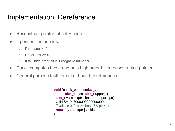#### Implementation: Dereference

- Reconstruct pointer: offset + base
- If pointer is in bounds:
	- $\circ$  Ptr base  $\geq 0$
	- $\circ$  Upper ptr  $\geq 0$
	- If fail, high order bit is 1 (negative number)
- Check computes these and puts high order bit in reconstructed pointer
- General purpose fault for out of bound dereferences

```
void *check_bounds(size_t ptr,
       size t base, size t upper) {
  size_t valid = (ptr - base) | (upper - ptr);
 valid &= 0x8000000000000000;
  // valid is 0 if ptr >= base && ptr < upper
  return (void *)(ptr | valid);
}
```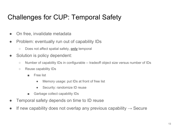### Challenges for CUP: Temporal Safety

- On free, invalidate metadata
- Problem: eventually run out of capability IDs
	- Does not affect spatial safety, **only** temporal
- Solution is policy dependent:
	- Number of capability IDs in configurable -- tradeoff object size versus number of IDs
	- Reuse capability IDs
		- Free list
			- Memory usage: put IDs at front of free list
			- Security: randomize ID reuse
		- Garbage collect capability IDs
- Temporal safety depends on time to ID reuse
- $\bullet$  If new capability does not overlap any previous capability  $\rightarrow$  Secure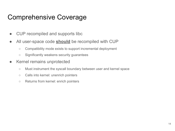#### Comprehensive Coverage

- CUP recompiled and supports libc
- All user-space code **should** be recompiled with CUP
	- Compatibility mode exists to support incremental deployment
	- Significantly weakens security guarantees
- Kernel remains unprotected
	- Must instrument the syscall boundary between user and kernel space
	- Calls into kernel: unenrich pointers
	- Returns from kernel: enrich pointers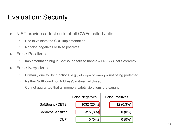### Evaluation: Security

- NIST provides a test suite of all CWEs called Juliet
	- Use to validate the CUP implementation
	- No false negatives or false positives
- False Positives
	- Implementation bug in SoftBound fails to handle **alloca()** calls correctly

#### ● False Negatives

- Primarily due to libc functions, e.g., **strcpy** or **memcpy** not being protected
- Neither SoftBound nor AddressSanitizer fail closed
- Cannot guarantee that all memory safety violations are caught

|                  | <b>False Negatives</b> | <b>False Positives</b> |
|------------------|------------------------|------------------------|
| SoftBound+CETS   | 1032 (25%)             | $12(0.3\%)$            |
| AddressSanitizer | 315(8%)                | $0(0\%)$               |
| CUP              | $0(0\%)$               | $0(0\%$                |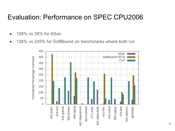#### Evaluation: Performance on SPEC CPU2006

- 158% vs 38% for ASan
- 126% vs 245% for SoftBound on benchmarks where both run